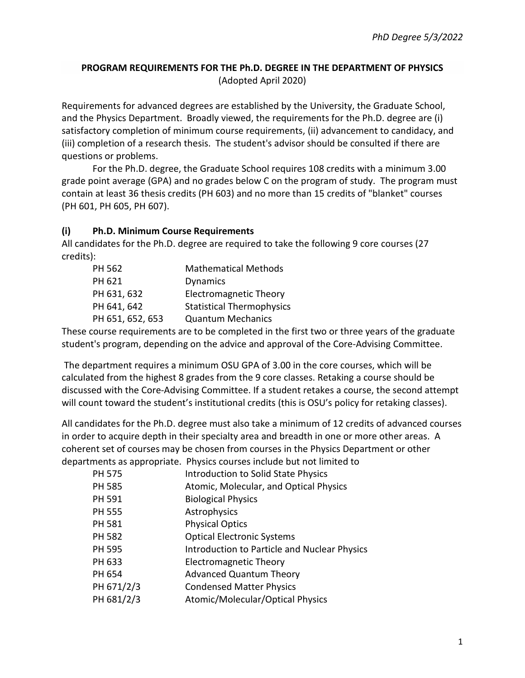## **PROGRAM REQUIREMENTS FOR THE Ph.D. DEGREE IN THE DEPARTMENT OF PHYSICS** (Adopted April 2020)

Requirements for advanced degrees are established by the University, the Graduate School, and the Physics Department. Broadly viewed, the requirements for the Ph.D. degree are (i) satisfactory completion of minimum course requirements, (ii) advancement to candidacy, and (iii) completion of a research thesis. The student's advisor should be consulted if there are questions or problems.

For the Ph.D. degree, the Graduate School requires 108 credits with a minimum 3.00 grade point average (GPA) and no grades below C on the program of study. The program must contain at least 36 thesis credits (PH 603) and no more than 15 credits of "blanket" courses (PH 601, PH 605, PH 607).

#### **(i) Ph.D. Minimum Course Requirements**

All candidates for the Ph.D. degree are required to take the following 9 core courses (27 credits):

| PH 562           | <b>Mathematical Methods</b>      |
|------------------|----------------------------------|
| PH 621           | <b>Dynamics</b>                  |
| PH 631, 632      | <b>Electromagnetic Theory</b>    |
| PH 641, 642      | <b>Statistical Thermophysics</b> |
| PH 651, 652, 653 | <b>Quantum Mechanics</b>         |

These course requirements are to be completed in the first two or three years of the graduate student's program, depending on the advice and approval of the Core-Advising Committee.

The department requires a minimum OSU GPA of 3.00 in the core courses, which will be calculated from the highest 8 grades from the 9 core classes. Retaking a course should be discussed with the Core-Advising Committee. If a student retakes a course, the second attempt will count toward the student's institutional credits (this is OSU's policy for retaking classes).

All candidates for the Ph.D. degree must also take a minimum of 12 credits of advanced courses in order to acquire depth in their specialty area and breadth in one or more other areas. A coherent set of courses may be chosen from courses in the Physics Department or other departments as appropriate. Physics courses include but not limited to

| <b>PH 575</b> | <b>Introduction to Solid State Physics</b>   |
|---------------|----------------------------------------------|
| <b>PH 585</b> | Atomic, Molecular, and Optical Physics       |
| PH 591        | <b>Biological Physics</b>                    |
| <b>PH 555</b> | Astrophysics                                 |
| <b>PH 581</b> | <b>Physical Optics</b>                       |
| <b>PH 582</b> | <b>Optical Electronic Systems</b>            |
| <b>PH 595</b> | Introduction to Particle and Nuclear Physics |
| PH 633        | <b>Electromagnetic Theory</b>                |
| PH 654        | <b>Advanced Quantum Theory</b>               |
| PH 671/2/3    | <b>Condensed Matter Physics</b>              |
| PH 681/2/3    | Atomic/Molecular/Optical Physics             |
|               |                                              |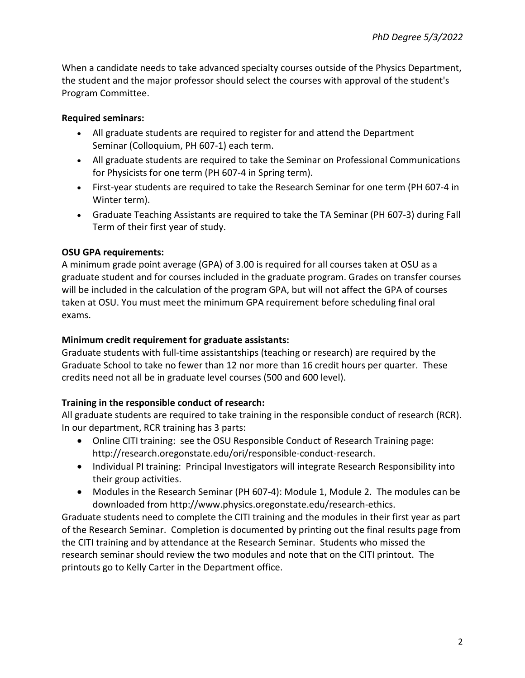When a candidate needs to take advanced specialty courses outside of the Physics Department, the student and the major professor should select the courses with approval of the student's Program Committee.

## **Required seminars:**

- All graduate students are required to register for and attend the Department Seminar (Colloquium, PH 607-1) each term.
- All graduate students are required to take the Seminar on Professional Communications for Physicists for one term (PH 607-4 in Spring term).
- First-year students are required to take the Research Seminar for one term (PH 607-4 in Winter term).
- Graduate Teaching Assistants are required to take the TA Seminar (PH 607-3) during Fall Term of their first year of study.

## **OSU GPA requirements:**

A minimum grade point average (GPA) of 3.00 is required for all courses taken at OSU as a graduate student and for courses included in the graduate program. Grades on transfer courses will be included in the calculation of the program GPA, but will not affect the GPA of courses taken at OSU. You must meet the minimum GPA requirement before scheduling final oral exams.

## **Minimum credit requirement for graduate assistants:**

Graduate students with full-time assistantships (teaching or research) are required by the Graduate School to take no fewer than 12 nor more than 16 credit hours per quarter. These credits need not all be in graduate level courses (500 and 600 level).

# **Training in the responsible conduct of research:**

All graduate students are required to take training in the responsible conduct of research (RCR). In our department, RCR training has 3 parts:

- Online CITI training: see the OSU Responsible Conduct of Research Training page: http://research.oregonstate.edu/ori/responsible-conduct-research.
- Individual PI training: Principal Investigators will integrate Research Responsibility into their group activities.
- Modules in the Research Seminar (PH 607-4): Module 1, Module 2. The modules can be downloaded from http://www.physics.oregonstate.edu/research-ethics.

Graduate students need to complete the CITI training and the modules in their first year as part of the Research Seminar. Completion is documented by printing out the final results page from the CITI training and by attendance at the Research Seminar. Students who missed the research seminar should review the two modules and note that on the CITI printout. The printouts go to Kelly Carter in the Department office.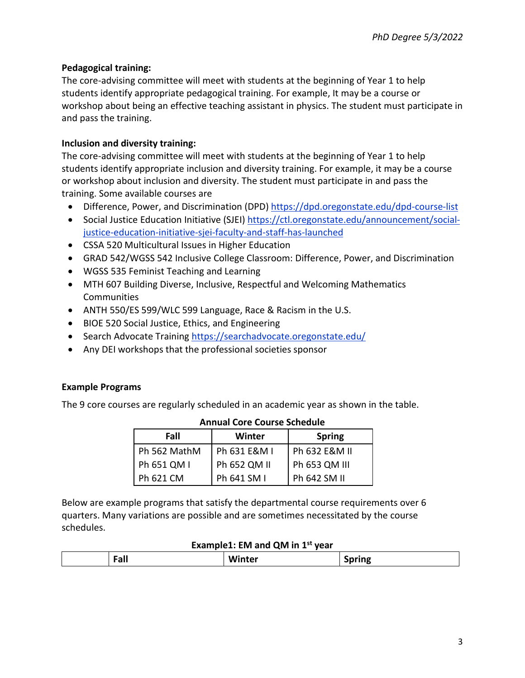### **Pedagogical training:**

The core-advising committee will meet with students at the beginning of Year 1 to help students identify appropriate pedagogical training. For example, It may be a course or workshop about being an effective teaching assistant in physics. The student must participate in and pass the training.

#### **Inclusion and diversity training:**

The core-advising committee will meet with students at the beginning of Year 1 to help students identify appropriate inclusion and diversity training. For example, it may be a course or workshop about inclusion and diversity. The student must participate in and pass the training. Some available courses are

- Difference, Power, and Discrimination (DPD) <https://dpd.oregonstate.edu/dpd-course-list>
- Social Justice Education Initiative (SJEI) [https://ctl.oregonstate.edu/announcement/social](https://ctl.oregonstate.edu/announcement/social-justice-education-initiative-sjei-faculty-and-staff-has-launched)[justice-education-initiative-sjei-faculty-and-staff-has-launched](https://ctl.oregonstate.edu/announcement/social-justice-education-initiative-sjei-faculty-and-staff-has-launched)
- CSSA 520 Multicultural Issues in Higher Education
- GRAD 542/WGSS 542 Inclusive College Classroom: Difference, Power, and Discrimination
- WGSS 535 Feminist Teaching and Learning
- MTH 607 Building Diverse, Inclusive, Respectful and Welcoming Mathematics **Communities**
- ANTH 550/ES 599/WLC 599 Language, Race & Racism in the U.S.
- BIOE 520 Social Justice, Ethics, and Engineering
- Search Advocate Training <https://searchadvocate.oregonstate.edu/>
- Any DEI workshops that the professional societies sponsor

#### **Example Programs**

The 9 core courses are regularly scheduled in an academic year as shown in the table.

| Fall         | Winter       | <b>Spring</b> |
|--------------|--------------|---------------|
| Ph 562 MathM | Ph 631 E&M I | Ph 632 E&M II |
| Ph 651 QM I  | Ph 652 QM II | Ph 653 QM III |
| Ph 621 CM    | Ph 641 SM I  | Ph 642 SM II  |

#### **Annual Core Course Schedule**

Below are example programs that satisfy the departmental course requirements over 6 quarters. Many variations are possible and are sometimes necessitated by the course schedules.

#### **Example1: EM and QM in 1st year**

|--|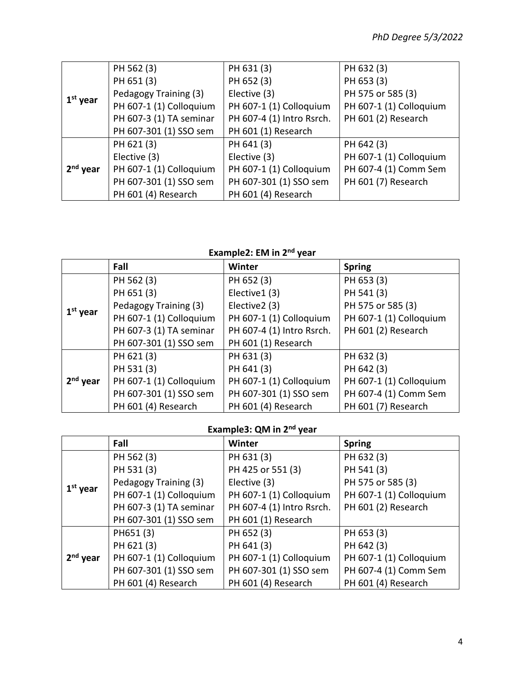|                      | PH 562 (3)              | PH 631 (3)                | PH 632 (3)              |
|----------------------|-------------------------|---------------------------|-------------------------|
| $1st$ year           | PH 651 (3)              | PH 652 (3)                | PH 653 (3)              |
|                      | Pedagogy Training (3)   | Elective (3)              | PH 575 or 585 (3)       |
|                      | PH 607-1 (1) Colloquium | PH 607-1 (1) Colloquium   | PH 607-1 (1) Colloquium |
|                      | PH 607-3 (1) TA seminar | PH 607-4 (1) Intro Rsrch. | PH 601 (2) Research     |
|                      | PH 607-301 (1) SSO sem  | PH 601 (1) Research       |                         |
|                      | PH 621 (3)              | PH 641 (3)                | PH 642 (3)              |
|                      | Elective (3)            | Elective (3)              | PH 607-1 (1) Colloquium |
| 2 <sup>nd</sup> year | PH 607-1 (1) Colloquium | PH 607-1 (1) Colloquium   | PH 607-4 (1) Comm Sem   |
|                      | PH 607-301 (1) SSO sem  | PH 607-301 (1) SSO sem    | PH 601 (7) Research     |
|                      | PH 601 (4) Research     | PH 601 (4) Research       |                         |

# **Example2: EM in 2nd year**

|            | Fall                    | Winter                    | <b>Spring</b>           |
|------------|-------------------------|---------------------------|-------------------------|
| $1st$ year | PH 562 (3)              | PH 652 (3)                | PH 653 (3)              |
|            | PH 651 (3)              | Elective1 (3)             | PH 541 (3)              |
|            | Pedagogy Training (3)   | Elective2 (3)             | PH 575 or 585 (3)       |
|            | PH 607-1 (1) Colloquium | PH 607-1 (1) Colloquium   | PH 607-1 (1) Colloquium |
|            | PH 607-3 (1) TA seminar | PH 607-4 (1) Intro Rsrch. | PH 601 (2) Research     |
|            | PH 607-301 (1) SSO sem  | PH 601 (1) Research       |                         |
| $2nd$ year | PH 621 (3)              | PH 631 (3)                | PH 632 (3)              |
|            | PH 531 (3)              | PH 641 (3)                | PH 642 (3)              |
|            | PH 607-1 (1) Colloquium | PH 607-1 (1) Colloquium   | PH 607-1 (1) Colloquium |
|            | PH 607-301 (1) SSO sem  | PH 607-301 (1) SSO sem    | PH 607-4 (1) Comm Sem   |
|            | PH 601 (4) Research     | PH 601 (4) Research       | PH 601 (7) Research     |

# **Example3: QM in 2nd year**

|                      | Fall                    | <b>Winter</b>             | <b>Spring</b>           |
|----------------------|-------------------------|---------------------------|-------------------------|
|                      | PH 562 (3)              | PH 631 (3)                | PH 632 (3)              |
| $1st$ year           | PH 531 (3)              | PH 425 or 551 (3)         | PH 541 (3)              |
|                      | Pedagogy Training (3)   | Elective (3)              | PH 575 or 585 (3)       |
|                      | PH 607-1 (1) Colloquium | PH 607-1 (1) Colloquium   | PH 607-1 (1) Colloquium |
|                      | PH 607-3 (1) TA seminar | PH 607-4 (1) Intro Rsrch. | PH 601 (2) Research     |
|                      | PH 607-301 (1) SSO sem  | PH 601 (1) Research       |                         |
| 2 <sup>nd</sup> year | PH651(3)                | PH 652 (3)                | PH 653 (3)              |
|                      | PH 621 (3)              | PH 641 (3)                | PH 642 (3)              |
|                      | PH 607-1 (1) Colloquium | PH 607-1 (1) Colloquium   | PH 607-1 (1) Colloquium |
|                      | PH 607-301 (1) SSO sem  | PH 607-301 (1) SSO sem    | PH 607-4 (1) Comm Sem   |
|                      | PH 601 (4) Research     | PH 601 (4) Research       | PH 601 (4) Research     |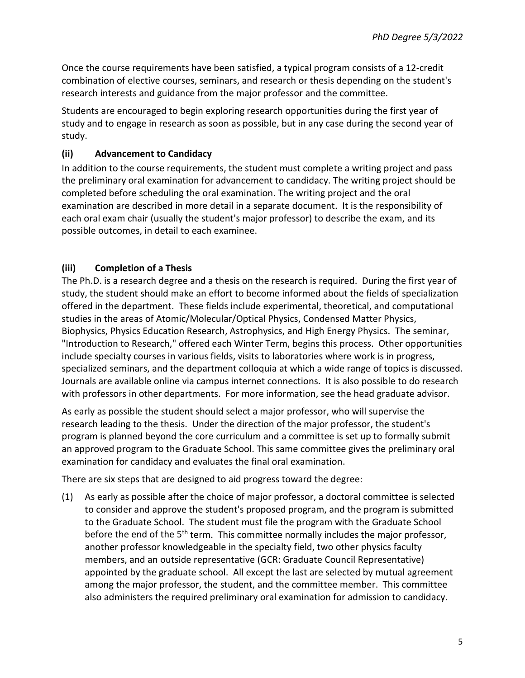Once the course requirements have been satisfied, a typical program consists of a 12-credit combination of elective courses, seminars, and research or thesis depending on the student's research interests and guidance from the major professor and the committee.

Students are encouraged to begin exploring research opportunities during the first year of study and to engage in research as soon as possible, but in any case during the second year of study.

# **(ii) Advancement to Candidacy**

In addition to the course requirements, the student must complete a writing project and pass the preliminary oral examination for advancement to candidacy. The writing project should be completed before scheduling the oral examination. The writing project and the oral examination are described in more detail in a separate document. It is the responsibility of each oral exam chair (usually the student's major professor) to describe the exam, and its possible outcomes, in detail to each examinee.

# **(iii) Completion of a Thesis**

The Ph.D. is a research degree and a thesis on the research is required. During the first year of study, the student should make an effort to become informed about the fields of specialization offered in the department. These fields include experimental, theoretical, and computational studies in the areas of Atomic/Molecular/Optical Physics, Condensed Matter Physics, Biophysics, Physics Education Research, Astrophysics, and High Energy Physics. The seminar, "Introduction to Research," offered each Winter Term, begins this process. Other opportunities include specialty courses in various fields, visits to laboratories where work is in progress, specialized seminars, and the department colloquia at which a wide range of topics is discussed. Journals are available online via campus internet connections. It is also possible to do research with professors in other departments. For more information, see the head graduate advisor.

As early as possible the student should select a major professor, who will supervise the research leading to the thesis. Under the direction of the major professor, the student's program is planned beyond the core curriculum and a committee is set up to formally submit an approved program to the Graduate School. This same committee gives the preliminary oral examination for candidacy and evaluates the final oral examination.

There are six steps that are designed to aid progress toward the degree:

(1) As early as possible after the choice of major professor, a doctoral committee is selected to consider and approve the student's proposed program, and the program is submitted to the Graduate School. The student must file the program with the Graduate School before the end of the 5<sup>th</sup> term. This committee normally includes the major professor, another professor knowledgeable in the specialty field, two other physics faculty members, and an outside representative (GCR: Graduate Council Representative) appointed by the graduate school. All except the last are selected by mutual agreement among the major professor, the student, and the committee member. This committee also administers the required preliminary oral examination for admission to candidacy.